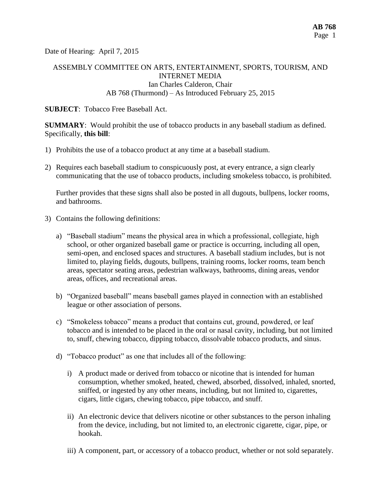Date of Hearing: April 7, 2015

# ASSEMBLY COMMITTEE ON ARTS, ENTERTAINMENT, SPORTS, TOURISM, AND INTERNET MEDIA Ian Charles Calderon, Chair AB 768 (Thurmond) – As Introduced February 25, 2015

#### **SUBJECT**: Tobacco Free Baseball Act.

**SUMMARY**: Would prohibit the use of tobacco products in any baseball stadium as defined. Specifically, **this bill**:

- 1) Prohibits the use of a tobacco product at any time at a baseball stadium.
- 2) Requires each baseball stadium to conspicuously post, at every entrance, a sign clearly communicating that the use of tobacco products, including smokeless tobacco, is prohibited.

Further provides that these signs shall also be posted in all dugouts, bullpens, locker rooms, and bathrooms.

- 3) Contains the following definitions:
	- a) "Baseball stadium" means the physical area in which a professional, collegiate, high school, or other organized baseball game or practice is occurring, including all open, semi-open, and enclosed spaces and structures. A baseball stadium includes, but is not limited to, [playing](http://lisprdweblb.calegis.net:7010/LISWeb/faces/bills/billdetail.xhtml) fields, dugouts, bullpens, training rooms, locker rooms, team bench areas, spectator seating areas, pedestrian walkways, bathrooms, dining areas, vendor areas, offices, and recreational areas.
	- b) "Organized baseball" means baseball games played in connection with an established league or other association of persons.
	- c) "Smokeless tobacco" means a product that contains cut, ground, powdered, or leaf tobacco and is intended to be placed in the oral or nasal cavity, including, but not limited to, snuff, chewing tobacco, dipping tobacco, dissolvable tobacco products, and sinus.
	- d) "Tobacco product" as one that includes all of the following:
		- i) A product made or derived from tobacco or nicotine that is intended for human consumption, whether smoked, heated, chewed, absorbed, dissolved, inhaled, snorted, sniffed, or ingested by any other means, including, but not limited to, cigarettes, cigars, little cigars, chewing tobacco, pipe tobacco, and snuff.
		- ii) An electronic device that delivers nicotine or other substances to the person inhaling from the device, including, but not limited to, an electronic cigarette, cigar, pipe, or hookah.
		- iii) A component, part, or accessory of a tobacco product, whether or not sold separately.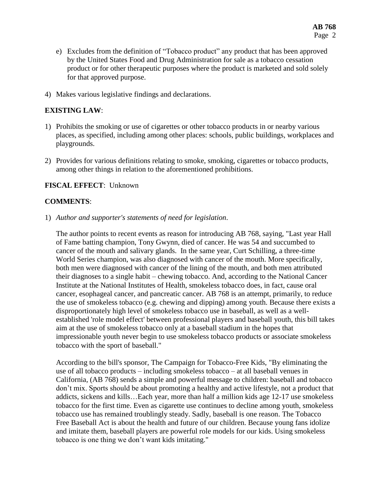- e) Excludes from the definition of "Tobacco product" any product that has been approved by the United States Food and Drug Administration for sale as a tobacco cessation product or for other therapeutic purposes where the product is marketed and sold solely for that approved purpose.
- 4) Makes various legislative findings and declarations.

## **EXISTING LAW**:

- 1) Prohibits the smoking or use of cigarettes or other tobacco products in or nearby various places, as specified, including among other places: schools, public buildings, workplaces and playgrounds.
- 2) Provides for various definitions relating to smoke, smoking, cigarettes or tobacco products, among other things in relation to the aforementioned prohibitions.

#### **FISCAL EFFECT**: Unknown

#### **COMMENTS**:

1) *Author and supporter's statements of need for legislation*.

The author points to recent events as reason for introducing AB 768, saying, "Last year Hall of Fame batting champion, Tony Gwynn, died of cancer. He was 54 and succumbed to cancer of the mouth and salivary glands. In the same year, Curt Schilling, a three-time World Series champion, was also diagnosed with cancer of the mouth. More specifically, both men were diagnosed with cancer of the lining of the mouth, and both men attributed their diagnoses to a single habit – chewing tobacco. And, according to the National Cancer Institute at the National Institutes of Health, smokeless tobacco does, in fact, cause oral cancer, esophageal cancer, and pancreatic cancer. AB 768 is an attempt, primarily, to reduce the use of smokeless tobacco (e.g. chewing and dipping) among youth. Because there exists a disproportionately high level of smokeless tobacco use in baseball, as well as a wellestablished 'role model effect' between professional players and baseball youth, this bill takes aim at the use of smokeless tobacco only at a baseball stadium in the hopes that impressionable youth never begin to use smokeless tobacco products or associate smokeless tobacco with the sport of baseball."

According to the bill's sponsor, The Campaign for Tobacco-Free Kids, "By eliminating the use of all tobacco products – including smokeless tobacco – at all baseball venues in California, (AB 768) sends a simple and powerful message to children: baseball and tobacco don't mix. Sports should be about promoting a healthy and active lifestyle, not a product that addicts, sickens and kills…Each year, more than half a million kids age 12-17 use smokeless tobacco for the first time. Even as cigarette use continues to decline among youth, smokeless tobacco use has remained troublingly steady. Sadly, baseball is one reason. The Tobacco Free Baseball Act is about the health and future of our children. Because young fans idolize and imitate them, baseball players are powerful role models for our kids. Using smokeless tobacco is one thing we don't want kids imitating."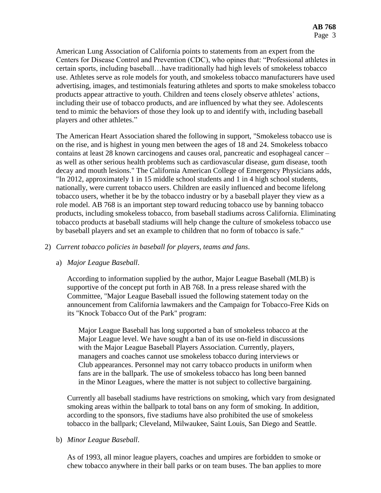American Lung Association of California points to statements from an expert from the Centers for Disease Control and Prevention (CDC), who opines that: "Professional athletes in certain sports, including baseball…have traditionally had high levels of smokeless tobacco use. Athletes serve as role models for youth, and smokeless tobacco manufacturers have used advertising, images, and testimonials featuring athletes and sports to make smokeless tobacco products appear attractive to youth. Children and teens closely observe athletes' actions, including their use of tobacco products, and are influenced by what they see. Adolescents tend to mimic the behaviors of those they look up to and identify with, including baseball players and other athletes."

The American Heart Association shared the following in support, "Smokeless tobacco use is on the rise, and is highest in young men between the ages of 18 and 24. Smokeless tobacco contains at least 28 known carcinogens and causes oral, pancreatic and esophageal cancer – as well as other serious health problems such as cardiovascular disease, gum disease, tooth decay and mouth lesions." The California American College of Emergency Physicians adds, "In 2012, approximately 1 in 15 middle school students and 1 in 4 high school students, nationally, were current tobacco users. Children are easily influenced and become lifelong tobacco users, whether it be by the tobacco industry or by a baseball player they view as a role model. AB 768 is an important step toward reducing tobacco use by banning tobacco products, including smokeless tobacco, from baseball stadiums across California. Eliminating tobacco products at baseball stadiums will help change the culture of smokeless tobacco use by baseball players and set an example to children that no form of tobacco is safe."

## 2) *Current tobacco policies in baseball for players, teams and fans*.

## a) *Major League Baseball*.

According to information supplied by the author, Major League Baseball (MLB) is supportive of the concept put forth in AB 768. In a press release shared with the Committee, "Major League Baseball issued the following statement today on the announcement from California lawmakers and the Campaign for Tobacco-Free Kids on its "Knock Tobacco Out of the Park" program:

Major League Baseball has long supported a ban of smokeless tobacco at the Major League level. We have sought a ban of its use on-field in discussions with the Major League Baseball Players Association. Currently, players, managers and coaches cannot use smokeless tobacco during interviews or Club appearances. Personnel may not carry tobacco products in uniform when fans are in the ballpark. The use of smokeless tobacco has long been banned in the Minor Leagues, where the matter is not subject to collective bargaining.

Currently all baseball stadiums have restrictions on smoking, which vary from designated smoking areas within the ballpark to total bans on any form of smoking. In addition, according to the sponsors, five stadiums have also prohibited the use of smokeless tobacco in the ballpark; Cleveland, Milwaukee, Saint Louis, San Diego and Seattle.

## b) *Minor League Baseball*.

As of 1993, all minor league players, coaches and umpires are forbidden to smoke or chew tobacco anywhere in their ball parks or on team buses. The ban applies to more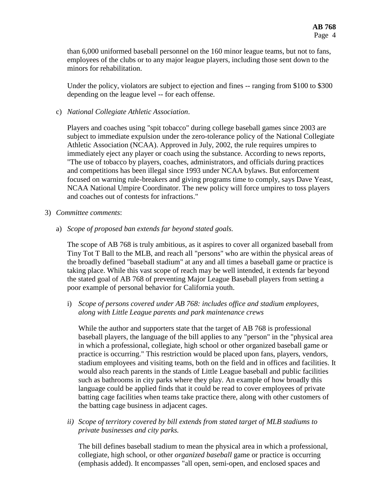than 6,000 uniformed baseball personnel on the 160 minor league teams, but not to fans, employees of the clubs or to any major league players, including those sent down to the minors for rehabilitation.

Under the policy, violators are subject to ejection and fines -- ranging from \$100 to \$300 depending on the league level -- for each offense.

## c) *National Collegiate Athletic Association*.

Players and coaches using "spit tobacco" during college baseball games since 2003 are subject to immediate expulsion under the zero-tolerance policy of the National Collegiate Athletic Association (NCAA). Approved in July, 2002, the rule requires umpires to immediately eject any player or coach using the substance. According to news reports, "The use of tobacco by players, coaches, administrators, and officials during practices and competitions has been illegal since 1993 under NCAA bylaws. But enforcement focused on warning rule-breakers and giving programs time to comply, says Dave Yeast, NCAA National Umpire Coordinator. The new policy will force umpires to toss players and coaches out of contests for infractions."

- 3) *Committee comments*:
	- a) *Scope of proposed ban extends far beyond stated goals.*

The scope of AB 768 is truly ambitious, as it aspires to cover all organized baseball from Tiny Tot T Ball to the MLB, and reach all "persons" who are within the physical areas of the broadly defined "baseball stadium" at any and all times a baseball game or practice is taking place. While this vast scope of reach may be well intended, it extends far beyond the stated goal of AB 768 of preventing Major League Baseball players from setting a poor example of personal behavior for California youth.

i) *Scope of persons covered under AB 768: includes office and stadium employees, along with Little League parents and park maintenance crews*

While the author and supporters state that the target of AB 768 is professional baseball players, the language of the bill applies to any "person" in the "physical area in which a professional, collegiate, high school or other organized baseball game or practice is occurring." This restriction would be placed upon fans, players, vendors, stadium employees and visiting teams, both on the field and in offices and facilities. It would also reach parents in the stands of Little League baseball and public facilities such as bathrooms in city parks where they play. An example of how broadly this language could be applied finds that it could be read to cover employees of private batting cage facilities when teams take practice there, along with other customers of the batting cage business in adjacent cages.

*ii) Scope of territory covered by bill extends from stated target of MLB stadiums to private businesses and city parks.*

The bill defines baseball stadium to mean the physical area in which a professional, collegiate, high school, or other *organized baseball* game or practice is occurring (emphasis added). It encompasses "all open, semi-open, and enclosed spaces and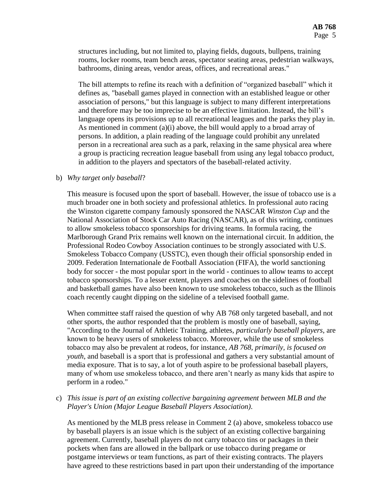structures including, but not limited to, playing fields, dugouts, bullpens, training rooms, locker rooms, team bench areas, spectator seating areas, pedestrian walkways, bathrooms, dining areas, vendor areas, offices, and recreational areas."

The bill attempts to refine its reach with a definition of "organized baseball" which it defines as, "baseball games played in connection with an established league or other association of persons," but this language is subject to many different interpretations and therefore may be too imprecise to be an effective limitation. Instead, the bill's language opens its provisions up to all recreational leagues and the parks they play in. As mentioned in comment  $(a)(i)$  above, the bill would apply to a broad array of persons. In addition, a plain reading of the language could prohibit any unrelated person in a recreational area such as a park, relaxing in the same physical area where a group is practicing recreation league baseball from using any legal tobacco product, in addition to the players and spectators of the baseball-related activity.

#### b) *Why target only baseball*?

This measure is focused upon the sport of baseball. However, the issue of tobacco use is a much broader one in both society and professional athletics. In professional auto racing the Winston cigarette company famously sponsored the NASCAR *Winston Cup* and the National Association of Stock Car Auto Racing (NASCAR), as of this writing, continues to allow smokeless tobacco sponsorships for driving teams. In formula racing, the Marlborough Grand Prix remains well known on the international circuit. In addition, the Professional Rodeo Cowboy Association continues to be strongly associated with U.S. Smokeless Tobacco Company (USSTC), even though their official sponsorship ended in 2009. Federation Internationale de Football Association (FIFA), the world sanctioning body for soccer - the most popular sport in the world - continues to allow teams to accept tobacco sponsorships. To a lesser extent, players and coaches on the sidelines of football and basketball games have also been known to use smokeless tobacco, such as the Illinois coach recently caught dipping on the sideline of a televised football game.

When committee staff raised the question of why AB 768 only targeted baseball, and not other sports, the author responded that the problem is mostly one of baseball, saying, "According to the Journal of Athletic Training, athletes, *particularly baseball players*, are known to be heavy users of smokeless tobacco. Moreover, while the use of smokeless tobacco may also be prevalent at rodeos, for instance, *AB 768, primarily, is focused on youth*, and baseball is a sport that is professional and gathers a very substantial amount of media exposure. That is to say, a lot of youth aspire to be professional baseball players, many of whom use smokeless tobacco, and there aren't nearly as many kids that aspire to perform in a rodeo."

c) *This issue is part of an existing collective bargaining agreement between MLB and the Player's Union (Major League Baseball Players Association)*.

As mentioned by the MLB press release in Comment 2 (a) above, smokeless tobacco use by baseball players is an issue which is the subject of an existing collective bargaining agreement. Currently, baseball players do not carry tobacco tins or packages in their pockets when fans are allowed in the ballpark or use tobacco during pregame or postgame interviews or team functions, as part of their existing contracts. The players have agreed to these restrictions based in part upon their understanding of the importance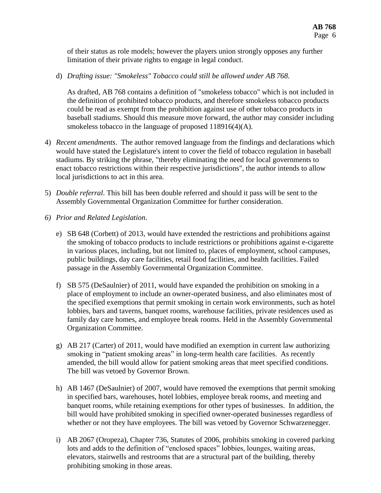of their status as role models; however the players union strongly opposes any further limitation of their private rights to engage in legal conduct.

d) *Drafting issue: "Smokeless" Tobacco could still be allowed under AB 768*.

As drafted, AB 768 contains a definition of "smokeless tobacco" which is not included in the definition of prohibited tobacco products, and therefore smokeless tobacco products could be read as exempt from the prohibition against use of other tobacco products in baseball stadiums. Should this measure move forward, the author may consider including smokeless tobacco in the language of proposed 118916(4)(A).

- 4) *Recent amendments*. The author removed language from the findings and declarations which would have stated the Legislature's intent to cover the field of tobacco regulation in baseball stadiums. By striking the phrase, "thereby eliminating the need for local governments to enact tobacco restrictions within their respective jurisdictions", the author intends to allow local jurisdictions to act in this area.
- 5) *Double referral*. This bill has been double referred and should it pass will be sent to the Assembly Governmental Organization Committee for further consideration.
- *6) Prior and Related Legislation*.
	- e) SB 648 (Corbett) of 2013, would have extended the restrictions and prohibitions against the smoking of tobacco products to include restrictions or prohibitions against e-cigarette in various places, including, but not limited to, places of employment, school campuses, public buildings, day care facilities, retail food facilities, and health facilities. Failed passage in the Assembly Governmental Organization Committee.
	- f) SB 575 (DeSaulnier) of 2011, would have expanded the prohibition on smoking in a place of employment to include an owner-operated business, and also eliminates most of the specified exemptions that permit smoking in certain work environments, such as hotel lobbies, bars and taverns, banquet rooms, warehouse facilities, private residences used as family day care homes, and employee break rooms. Held in the Assembly Governmental Organization Committee.
	- g) AB 217 (Carter) of 2011, would have modified an exemption in current law authorizing smoking in "patient smoking areas" in long-term health care facilities. As recently amended, the bill would allow for patient smoking areas that meet specified conditions. The bill was vetoed by Governor Brown.
	- h) AB 1467 (DeSaulnier) of 2007, would have removed the exemptions that permit smoking in specified bars, warehouses, hotel lobbies, employee break rooms, and meeting and banquet rooms, while retaining exemptions for other types of businesses. In addition, the bill would have prohibited smoking in specified owner-operated businesses regardless of whether or not they have employees. The bill was vetoed by Governor Schwarzenegger.
	- i) AB 2067 (Oropeza), Chapter 736, Statutes of 2006, prohibits smoking in covered parking lots and adds to the definition of "enclosed spaces" lobbies, lounges, waiting areas, elevators, stairwells and restrooms that are a structural part of the building, thereby prohibiting smoking in those areas.